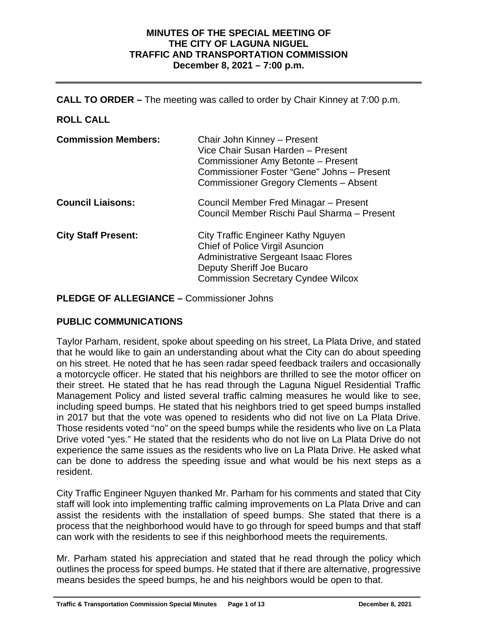#### **MINUTES OF THE SPECIAL MEETING OF THE CITY OF LAGUNA NIGUEL TRAFFIC AND TRANSPORTATION COMMISSION December 8, 2021 – 7:00 p.m.**

**CALL TO ORDER –** The meeting was called to order by Chair Kinney at 7:00 p.m.

## **ROLL CALL**

| <b>Commission Members:</b> | Chair John Kinney - Present<br>Vice Chair Susan Harden - Present<br>Commissioner Amy Betonte - Present<br>Commissioner Foster "Gene" Johns - Present<br>Commissioner Gregory Clements - Absent |
|----------------------------|------------------------------------------------------------------------------------------------------------------------------------------------------------------------------------------------|
| <b>Council Liaisons:</b>   | Council Member Fred Minagar – Present<br>Council Member Rischi Paul Sharma - Present                                                                                                           |
| <b>City Staff Present:</b> | City Traffic Engineer Kathy Nguyen<br>Chief of Police Virgil Asuncion<br><b>Administrative Sergeant Isaac Flores</b><br>Deputy Sheriff Joe Bucaro<br><b>Commission Secretary Cyndee Wilcox</b> |

**PLEDGE OF ALLEGIANCE –** Commissioner Johns

## **PUBLIC COMMUNICATIONS**

Taylor Parham, resident, spoke about speeding on his street, La Plata Drive, and stated that he would like to gain an understanding about what the City can do about speeding on his street. He noted that he has seen radar speed feedback trailers and occasionally a motorcycle officer. He stated that his neighbors are thrilled to see the motor officer on their street. He stated that he has read through the Laguna Niguel Residential Traffic Management Policy and listed several traffic calming measures he would like to see, including speed bumps. He stated that his neighbors tried to get speed bumps installed in 2017 but that the vote was opened to residents who did not live on La Plata Drive. Those residents voted "no" on the speed bumps while the residents who live on La Plata Drive voted "yes." He stated that the residents who do not live on La Plata Drive do not experience the same issues as the residents who live on La Plata Drive. He asked what can be done to address the speeding issue and what would be his next steps as a resident.

City Traffic Engineer Nguyen thanked Mr. Parham for his comments and stated that City staff will look into implementing traffic calming improvements on La Plata Drive and can assist the residents with the installation of speed bumps. She stated that there is a process that the neighborhood would have to go through for speed bumps and that staff can work with the residents to see if this neighborhood meets the requirements.

Mr. Parham stated his appreciation and stated that he read through the policy which outlines the process for speed bumps. He stated that if there are alternative, progressive means besides the speed bumps, he and his neighbors would be open to that.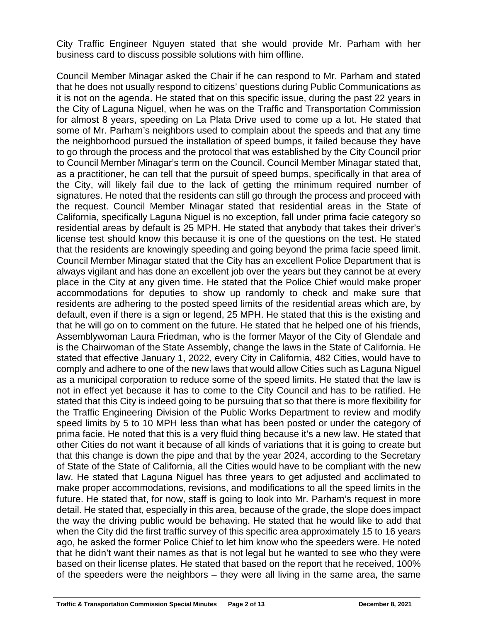City Traffic Engineer Nguyen stated that she would provide Mr. Parham with her business card to discuss possible solutions with him offline.

Council Member Minagar asked the Chair if he can respond to Mr. Parham and stated that he does not usually respond to citizens' questions during Public Communications as it is not on the agenda. He stated that on this specific issue, during the past 22 years in the City of Laguna Niguel, when he was on the Traffic and Transportation Commission for almost 8 years, speeding on La Plata Drive used to come up a lot. He stated that some of Mr. Parham's neighbors used to complain about the speeds and that any time the neighborhood pursued the installation of speed bumps, it failed because they have to go through the process and the protocol that was established by the City Council prior to Council Member Minagar's term on the Council. Council Member Minagar stated that, as a practitioner, he can tell that the pursuit of speed bumps, specifically in that area of the City, will likely fail due to the lack of getting the minimum required number of signatures. He noted that the residents can still go through the process and proceed with the request. Council Member Minagar stated that residential areas in the State of California, specifically Laguna Niguel is no exception, fall under prima facie category so residential areas by default is 25 MPH. He stated that anybody that takes their driver's license test should know this because it is one of the questions on the test. He stated that the residents are knowingly speeding and going beyond the prima facie speed limit. Council Member Minagar stated that the City has an excellent Police Department that is always vigilant and has done an excellent job over the years but they cannot be at every place in the City at any given time. He stated that the Police Chief would make proper accommodations for deputies to show up randomly to check and make sure that residents are adhering to the posted speed limits of the residential areas which are, by default, even if there is a sign or legend, 25 MPH. He stated that this is the existing and that he will go on to comment on the future. He stated that he helped one of his friends, Assemblywoman Laura Friedman, who is the former Mayor of the City of Glendale and is the Chairwoman of the State Assembly, change the laws in the State of California. He stated that effective January 1, 2022, every City in California, 482 Cities, would have to comply and adhere to one of the new laws that would allow Cities such as Laguna Niguel as a municipal corporation to reduce some of the speed limits. He stated that the law is not in effect yet because it has to come to the City Council and has to be ratified. He stated that this City is indeed going to be pursuing that so that there is more flexibility for the Traffic Engineering Division of the Public Works Department to review and modify speed limits by 5 to 10 MPH less than what has been posted or under the category of prima facie. He noted that this is a very fluid thing because it's a new law. He stated that other Cities do not want it because of all kinds of variations that it is going to create but that this change is down the pipe and that by the year 2024, according to the Secretary of State of the State of California, all the Cities would have to be compliant with the new law. He stated that Laguna Niguel has three years to get adjusted and acclimated to make proper accommodations, revisions, and modifications to all the speed limits in the future. He stated that, for now, staff is going to look into Mr. Parham's request in more detail. He stated that, especially in this area, because of the grade, the slope does impact the way the driving public would be behaving. He stated that he would like to add that when the City did the first traffic survey of this specific area approximately 15 to 16 years ago, he asked the former Police Chief to let him know who the speeders were. He noted that he didn't want their names as that is not legal but he wanted to see who they were based on their license plates. He stated that based on the report that he received, 100% of the speeders were the neighbors – they were all living in the same area, the same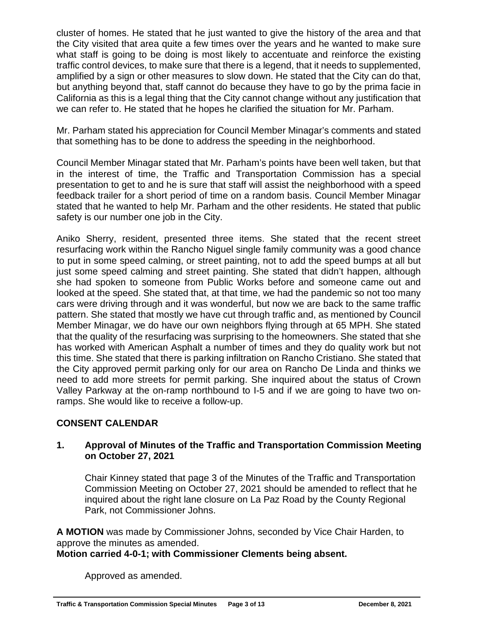cluster of homes. He stated that he just wanted to give the history of the area and that the City visited that area quite a few times over the years and he wanted to make sure what staff is going to be doing is most likely to accentuate and reinforce the existing traffic control devices, to make sure that there is a legend, that it needs to supplemented, amplified by a sign or other measures to slow down. He stated that the City can do that, but anything beyond that, staff cannot do because they have to go by the prima facie in California as this is a legal thing that the City cannot change without any justification that we can refer to. He stated that he hopes he clarified the situation for Mr. Parham.

Mr. Parham stated his appreciation for Council Member Minagar's comments and stated that something has to be done to address the speeding in the neighborhood.

Council Member Minagar stated that Mr. Parham's points have been well taken, but that in the interest of time, the Traffic and Transportation Commission has a special presentation to get to and he is sure that staff will assist the neighborhood with a speed feedback trailer for a short period of time on a random basis. Council Member Minagar stated that he wanted to help Mr. Parham and the other residents. He stated that public safety is our number one job in the City.

Aniko Sherry, resident, presented three items. She stated that the recent street resurfacing work within the Rancho Niguel single family community was a good chance to put in some speed calming, or street painting, not to add the speed bumps at all but just some speed calming and street painting. She stated that didn't happen, although she had spoken to someone from Public Works before and someone came out and looked at the speed. She stated that, at that time, we had the pandemic so not too many cars were driving through and it was wonderful, but now we are back to the same traffic pattern. She stated that mostly we have cut through traffic and, as mentioned by Council Member Minagar, we do have our own neighbors flying through at 65 MPH. She stated that the quality of the resurfacing was surprising to the homeowners. She stated that she has worked with American Asphalt a number of times and they do quality work but not this time. She stated that there is parking infiltration on Rancho Cristiano. She stated that the City approved permit parking only for our area on Rancho De Linda and thinks we need to add more streets for permit parking. She inquired about the status of Crown Valley Parkway at the on-ramp northbound to I-5 and if we are going to have two onramps. She would like to receive a follow-up.

## **CONSENT CALENDAR**

### **1. Approval of Minutes of the Traffic and Transportation Commission Meeting on October 27, 2021**

Chair Kinney stated that page 3 of the Minutes of the Traffic and Transportation Commission Meeting on October 27, 2021 should be amended to reflect that he inquired about the right lane closure on La Paz Road by the County Regional Park, not Commissioner Johns.

**A MOTION** was made by Commissioner Johns, seconded by Vice Chair Harden, to approve the minutes as amended.

## **Motion carried 4-0-1; with Commissioner Clements being absent.**

Approved as amended.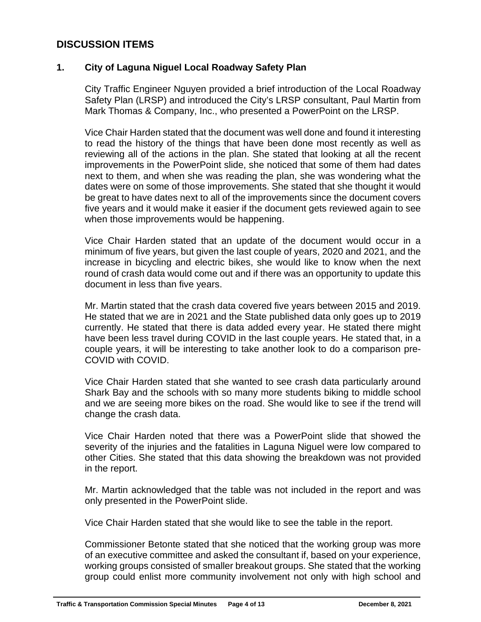# **DISCUSSION ITEMS**

### **1. City of Laguna Niguel Local Roadway Safety Plan**

City Traffic Engineer Nguyen provided a brief introduction of the Local Roadway Safety Plan (LRSP) and introduced the City's LRSP consultant, Paul Martin from Mark Thomas & Company, Inc., who presented a PowerPoint on the LRSP.

Vice Chair Harden stated that the document was well done and found it interesting to read the history of the things that have been done most recently as well as reviewing all of the actions in the plan. She stated that looking at all the recent improvements in the PowerPoint slide, she noticed that some of them had dates next to them, and when she was reading the plan, she was wondering what the dates were on some of those improvements. She stated that she thought it would be great to have dates next to all of the improvements since the document covers five years and it would make it easier if the document gets reviewed again to see when those improvements would be happening.

Vice Chair Harden stated that an update of the document would occur in a minimum of five years, but given the last couple of years, 2020 and 2021, and the increase in bicycling and electric bikes, she would like to know when the next round of crash data would come out and if there was an opportunity to update this document in less than five years.

Mr. Martin stated that the crash data covered five years between 2015 and 2019. He stated that we are in 2021 and the State published data only goes up to 2019 currently. He stated that there is data added every year. He stated there might have been less travel during COVID in the last couple years. He stated that, in a couple years, it will be interesting to take another look to do a comparison pre-COVID with COVID.

Vice Chair Harden stated that she wanted to see crash data particularly around Shark Bay and the schools with so many more students biking to middle school and we are seeing more bikes on the road. She would like to see if the trend will change the crash data.

Vice Chair Harden noted that there was a PowerPoint slide that showed the severity of the injuries and the fatalities in Laguna Niguel were low compared to other Cities. She stated that this data showing the breakdown was not provided in the report.

Mr. Martin acknowledged that the table was not included in the report and was only presented in the PowerPoint slide.

Vice Chair Harden stated that she would like to see the table in the report.

Commissioner Betonte stated that she noticed that the working group was more of an executive committee and asked the consultant if, based on your experience, working groups consisted of smaller breakout groups. She stated that the working group could enlist more community involvement not only with high school and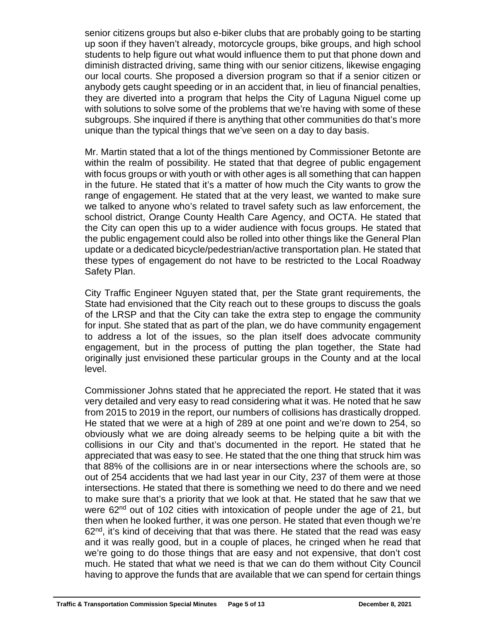senior citizens groups but also e-biker clubs that are probably going to be starting up soon if they haven't already, motorcycle groups, bike groups, and high school students to help figure out what would influence them to put that phone down and diminish distracted driving, same thing with our senior citizens, likewise engaging our local courts. She proposed a diversion program so that if a senior citizen or anybody gets caught speeding or in an accident that, in lieu of financial penalties, they are diverted into a program that helps the City of Laguna Niguel come up with solutions to solve some of the problems that we're having with some of these subgroups. She inquired if there is anything that other communities do that's more unique than the typical things that we've seen on a day to day basis.

Mr. Martin stated that a lot of the things mentioned by Commissioner Betonte are within the realm of possibility. He stated that that degree of public engagement with focus groups or with youth or with other ages is all something that can happen in the future. He stated that it's a matter of how much the City wants to grow the range of engagement. He stated that at the very least, we wanted to make sure we talked to anyone who's related to travel safety such as law enforcement, the school district, Orange County Health Care Agency, and OCTA. He stated that the City can open this up to a wider audience with focus groups. He stated that the public engagement could also be rolled into other things like the General Plan update or a dedicated bicycle/pedestrian/active transportation plan. He stated that these types of engagement do not have to be restricted to the Local Roadway Safety Plan.

City Traffic Engineer Nguyen stated that, per the State grant requirements, the State had envisioned that the City reach out to these groups to discuss the goals of the LRSP and that the City can take the extra step to engage the community for input. She stated that as part of the plan, we do have community engagement to address a lot of the issues, so the plan itself does advocate community engagement, but in the process of putting the plan together, the State had originally just envisioned these particular groups in the County and at the local level.

Commissioner Johns stated that he appreciated the report. He stated that it was very detailed and very easy to read considering what it was. He noted that he saw from 2015 to 2019 in the report, our numbers of collisions has drastically dropped. He stated that we were at a high of 289 at one point and we're down to 254, so obviously what we are doing already seems to be helping quite a bit with the collisions in our City and that's documented in the report. He stated that he appreciated that was easy to see. He stated that the one thing that struck him was that 88% of the collisions are in or near intersections where the schools are, so out of 254 accidents that we had last year in our City, 237 of them were at those intersections. He stated that there is something we need to do there and we need to make sure that's a priority that we look at that. He stated that he saw that we were 62<sup>nd</sup> out of 102 cities with intoxication of people under the age of 21, but then when he looked further, it was one person. He stated that even though we're  $62<sup>nd</sup>$ , it's kind of deceiving that that was there. He stated that the read was easy and it was really good, but in a couple of places, he cringed when he read that we're going to do those things that are easy and not expensive, that don't cost much. He stated that what we need is that we can do them without City Council having to approve the funds that are available that we can spend for certain things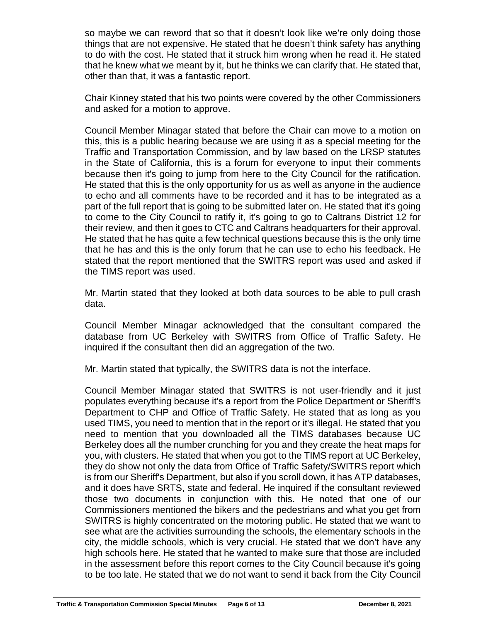so maybe we can reword that so that it doesn't look like we're only doing those things that are not expensive. He stated that he doesn't think safety has anything to do with the cost. He stated that it struck him wrong when he read it. He stated that he knew what we meant by it, but he thinks we can clarify that. He stated that, other than that, it was a fantastic report.

Chair Kinney stated that his two points were covered by the other Commissioners and asked for a motion to approve.

Council Member Minagar stated that before the Chair can move to a motion on this, this is a public hearing because we are using it as a special meeting for the Traffic and Transportation Commission, and by law based on the LRSP statutes in the State of California, this is a forum for everyone to input their comments because then it's going to jump from here to the City Council for the ratification. He stated that this is the only opportunity for us as well as anyone in the audience to echo and all comments have to be recorded and it has to be integrated as a part of the full report that is going to be submitted later on. He stated that it's going to come to the City Council to ratify it, it's going to go to Caltrans District 12 for their review, and then it goes to CTC and Caltrans headquarters for their approval. He stated that he has quite a few technical questions because this is the only time that he has and this is the only forum that he can use to echo his feedback. He stated that the report mentioned that the SWITRS report was used and asked if the TIMS report was used.

Mr. Martin stated that they looked at both data sources to be able to pull crash data.

Council Member Minagar acknowledged that the consultant compared the database from UC Berkeley with SWITRS from Office of Traffic Safety. He inquired if the consultant then did an aggregation of the two.

Mr. Martin stated that typically, the SWITRS data is not the interface.

Council Member Minagar stated that SWITRS is not user-friendly and it just populates everything because it's a report from the Police Department or Sheriff's Department to CHP and Office of Traffic Safety. He stated that as long as you used TIMS, you need to mention that in the report or it's illegal. He stated that you need to mention that you downloaded all the TIMS databases because UC Berkeley does all the number crunching for you and they create the heat maps for you, with clusters. He stated that when you got to the TIMS report at UC Berkeley, they do show not only the data from Office of Traffic Safety/SWITRS report which is from our Sheriff's Department, but also if you scroll down, it has ATP databases, and it does have SRTS, state and federal. He inquired if the consultant reviewed those two documents in conjunction with this. He noted that one of our Commissioners mentioned the bikers and the pedestrians and what you get from SWITRS is highly concentrated on the motoring public. He stated that we want to see what are the activities surrounding the schools, the elementary schools in the city, the middle schools, which is very crucial. He stated that we don't have any high schools here. He stated that he wanted to make sure that those are included in the assessment before this report comes to the City Council because it's going to be too late. He stated that we do not want to send it back from the City Council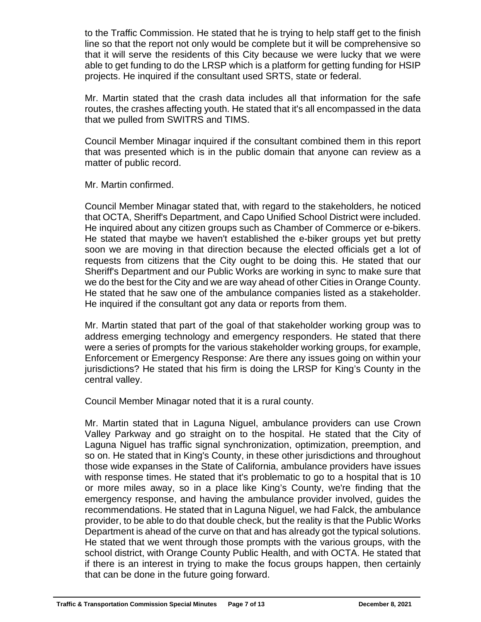to the Traffic Commission. He stated that he is trying to help staff get to the finish line so that the report not only would be complete but it will be comprehensive so that it will serve the residents of this City because we were lucky that we were able to get funding to do the LRSP which is a platform for getting funding for HSIP projects. He inquired if the consultant used SRTS, state or federal.

Mr. Martin stated that the crash data includes all that information for the safe routes, the crashes affecting youth. He stated that it's all encompassed in the data that we pulled from SWITRS and TIMS.

Council Member Minagar inquired if the consultant combined them in this report that was presented which is in the public domain that anyone can review as a matter of public record.

Mr. Martin confirmed.

Council Member Minagar stated that, with regard to the stakeholders, he noticed that OCTA, Sheriff's Department, and Capo Unified School District were included. He inquired about any citizen groups such as Chamber of Commerce or e-bikers. He stated that maybe we haven't established the e-biker groups yet but pretty soon we are moving in that direction because the elected officials get a lot of requests from citizens that the City ought to be doing this. He stated that our Sheriff's Department and our Public Works are working in sync to make sure that we do the best for the City and we are way ahead of other Cities in Orange County. He stated that he saw one of the ambulance companies listed as a stakeholder. He inquired if the consultant got any data or reports from them.

Mr. Martin stated that part of the goal of that stakeholder working group was to address emerging technology and emergency responders. He stated that there were a series of prompts for the various stakeholder working groups, for example, Enforcement or Emergency Response: Are there any issues going on within your jurisdictions? He stated that his firm is doing the LRSP for King's County in the central valley.

Council Member Minagar noted that it is a rural county.

Mr. Martin stated that in Laguna Niguel, ambulance providers can use Crown Valley Parkway and go straight on to the hospital. He stated that the City of Laguna Niguel has traffic signal synchronization, optimization, preemption, and so on. He stated that in King's County, in these other jurisdictions and throughout those wide expanses in the State of California, ambulance providers have issues with response times. He stated that it's problematic to go to a hospital that is 10 or more miles away, so in a place like King's County, we're finding that the emergency response, and having the ambulance provider involved, guides the recommendations. He stated that in Laguna Niguel, we had Falck, the ambulance provider, to be able to do that double check, but the reality is that the Public Works Department is ahead of the curve on that and has already got the typical solutions. He stated that we went through those prompts with the various groups, with the school district, with Orange County Public Health, and with OCTA. He stated that if there is an interest in trying to make the focus groups happen, then certainly that can be done in the future going forward.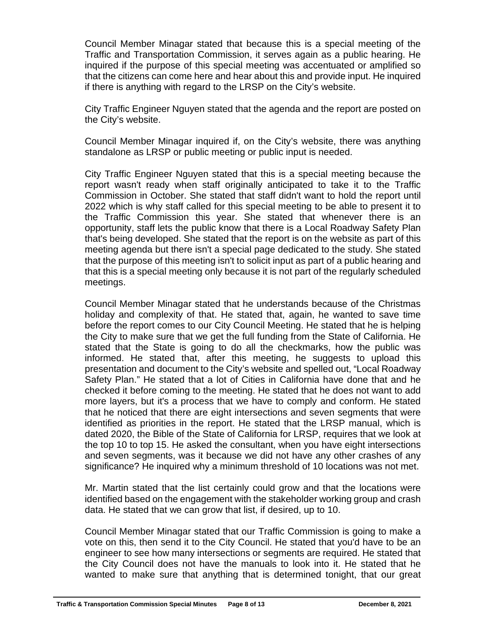Council Member Minagar stated that because this is a special meeting of the Traffic and Transportation Commission, it serves again as a public hearing. He inquired if the purpose of this special meeting was accentuated or amplified so that the citizens can come here and hear about this and provide input. He inquired if there is anything with regard to the LRSP on the City's website.

City Traffic Engineer Nguyen stated that the agenda and the report are posted on the City's website.

Council Member Minagar inquired if, on the City's website, there was anything standalone as LRSP or public meeting or public input is needed.

City Traffic Engineer Nguyen stated that this is a special meeting because the report wasn't ready when staff originally anticipated to take it to the Traffic Commission in October. She stated that staff didn't want to hold the report until 2022 which is why staff called for this special meeting to be able to present it to the Traffic Commission this year. She stated that whenever there is an opportunity, staff lets the public know that there is a Local Roadway Safety Plan that's being developed. She stated that the report is on the website as part of this meeting agenda but there isn't a special page dedicated to the study. She stated that the purpose of this meeting isn't to solicit input as part of a public hearing and that this is a special meeting only because it is not part of the regularly scheduled meetings.

Council Member Minagar stated that he understands because of the Christmas holiday and complexity of that. He stated that, again, he wanted to save time before the report comes to our City Council Meeting. He stated that he is helping the City to make sure that we get the full funding from the State of California. He stated that the State is going to do all the checkmarks, how the public was informed. He stated that, after this meeting, he suggests to upload this presentation and document to the City's website and spelled out, "Local Roadway Safety Plan." He stated that a lot of Cities in California have done that and he checked it before coming to the meeting. He stated that he does not want to add more layers, but it's a process that we have to comply and conform. He stated that he noticed that there are eight intersections and seven segments that were identified as priorities in the report. He stated that the LRSP manual, which is dated 2020, the Bible of the State of California for LRSP, requires that we look at the top 10 to top 15. He asked the consultant, when you have eight intersections and seven segments, was it because we did not have any other crashes of any significance? He inquired why a minimum threshold of 10 locations was not met.

Mr. Martin stated that the list certainly could grow and that the locations were identified based on the engagement with the stakeholder working group and crash data. He stated that we can grow that list, if desired, up to 10.

Council Member Minagar stated that our Traffic Commission is going to make a vote on this, then send it to the City Council. He stated that you'd have to be an engineer to see how many intersections or segments are required. He stated that the City Council does not have the manuals to look into it. He stated that he wanted to make sure that anything that is determined tonight, that our great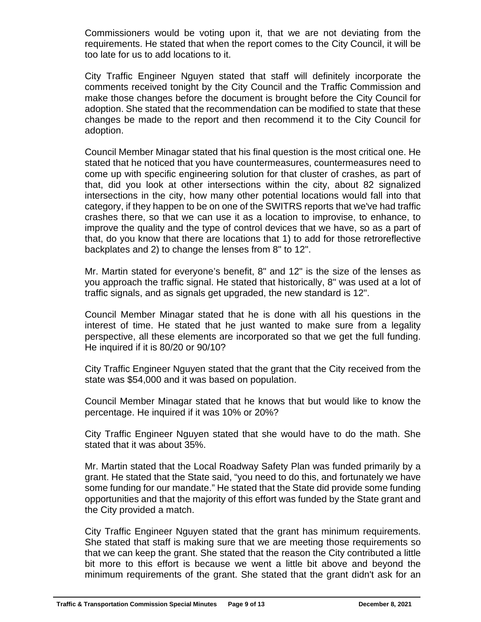Commissioners would be voting upon it, that we are not deviating from the requirements. He stated that when the report comes to the City Council, it will be too late for us to add locations to it.

City Traffic Engineer Nguyen stated that staff will definitely incorporate the comments received tonight by the City Council and the Traffic Commission and make those changes before the document is brought before the City Council for adoption. She stated that the recommendation can be modified to state that these changes be made to the report and then recommend it to the City Council for adoption.

Council Member Minagar stated that his final question is the most critical one. He stated that he noticed that you have countermeasures, countermeasures need to come up with specific engineering solution for that cluster of crashes, as part of that, did you look at other intersections within the city, about 82 signalized intersections in the city, how many other potential locations would fall into that category, if they happen to be on one of the SWITRS reports that we've had traffic crashes there, so that we can use it as a location to improvise, to enhance, to improve the quality and the type of control devices that we have, so as a part of that, do you know that there are locations that 1) to add for those retroreflective backplates and 2) to change the lenses from 8" to 12".

Mr. Martin stated for everyone's benefit, 8" and 12" is the size of the lenses as you approach the traffic signal. He stated that historically, 8" was used at a lot of traffic signals, and as signals get upgraded, the new standard is 12".

Council Member Minagar stated that he is done with all his questions in the interest of time. He stated that he just wanted to make sure from a legality perspective, all these elements are incorporated so that we get the full funding. He inquired if it is 80/20 or 90/10?

City Traffic Engineer Nguyen stated that the grant that the City received from the state was \$54,000 and it was based on population.

Council Member Minagar stated that he knows that but would like to know the percentage. He inquired if it was 10% or 20%?

City Traffic Engineer Nguyen stated that she would have to do the math. She stated that it was about 35%.

Mr. Martin stated that the Local Roadway Safety Plan was funded primarily by a grant. He stated that the State said, "you need to do this, and fortunately we have some funding for our mandate." He stated that the State did provide some funding opportunities and that the majority of this effort was funded by the State grant and the City provided a match.

City Traffic Engineer Nguyen stated that the grant has minimum requirements. She stated that staff is making sure that we are meeting those requirements so that we can keep the grant. She stated that the reason the City contributed a little bit more to this effort is because we went a little bit above and beyond the minimum requirements of the grant. She stated that the grant didn't ask for an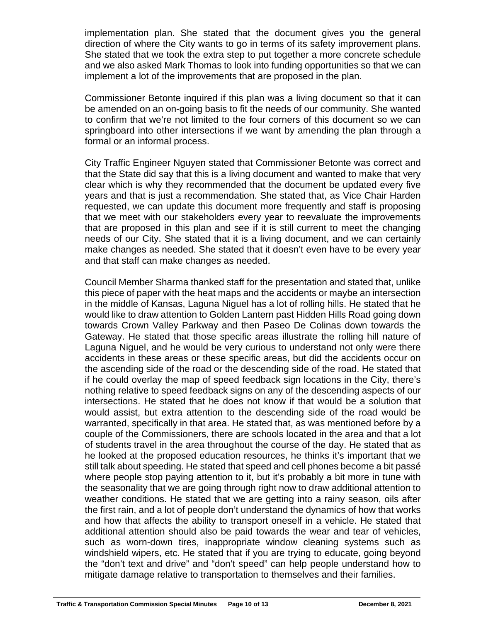implementation plan. She stated that the document gives you the general direction of where the City wants to go in terms of its safety improvement plans. She stated that we took the extra step to put together a more concrete schedule and we also asked Mark Thomas to look into funding opportunities so that we can implement a lot of the improvements that are proposed in the plan.

Commissioner Betonte inquired if this plan was a living document so that it can be amended on an on-going basis to fit the needs of our community. She wanted to confirm that we're not limited to the four corners of this document so we can springboard into other intersections if we want by amending the plan through a formal or an informal process.

City Traffic Engineer Nguyen stated that Commissioner Betonte was correct and that the State did say that this is a living document and wanted to make that very clear which is why they recommended that the document be updated every five years and that is just a recommendation. She stated that, as Vice Chair Harden requested, we can update this document more frequently and staff is proposing that we meet with our stakeholders every year to reevaluate the improvements that are proposed in this plan and see if it is still current to meet the changing needs of our City. She stated that it is a living document, and we can certainly make changes as needed. She stated that it doesn't even have to be every year and that staff can make changes as needed.

Council Member Sharma thanked staff for the presentation and stated that, unlike this piece of paper with the heat maps and the accidents or maybe an intersection in the middle of Kansas, Laguna Niguel has a lot of rolling hills. He stated that he would like to draw attention to Golden Lantern past Hidden Hills Road going down towards Crown Valley Parkway and then Paseo De Colinas down towards the Gateway. He stated that those specific areas illustrate the rolling hill nature of Laguna Niguel, and he would be very curious to understand not only were there accidents in these areas or these specific areas, but did the accidents occur on the ascending side of the road or the descending side of the road. He stated that if he could overlay the map of speed feedback sign locations in the City, there's nothing relative to speed feedback signs on any of the descending aspects of our intersections. He stated that he does not know if that would be a solution that would assist, but extra attention to the descending side of the road would be warranted, specifically in that area. He stated that, as was mentioned before by a couple of the Commissioners, there are schools located in the area and that a lot of students travel in the area throughout the course of the day. He stated that as he looked at the proposed education resources, he thinks it's important that we still talk about speeding. He stated that speed and cell phones become a bit passé where people stop paying attention to it, but it's probably a bit more in tune with the seasonality that we are going through right now to draw additional attention to weather conditions. He stated that we are getting into a rainy season, oils after the first rain, and a lot of people don't understand the dynamics of how that works and how that affects the ability to transport oneself in a vehicle. He stated that additional attention should also be paid towards the wear and tear of vehicles, such as worn-down tires, inappropriate window cleaning systems such as windshield wipers, etc. He stated that if you are trying to educate, going beyond the "don't text and drive" and "don't speed" can help people understand how to mitigate damage relative to transportation to themselves and their families.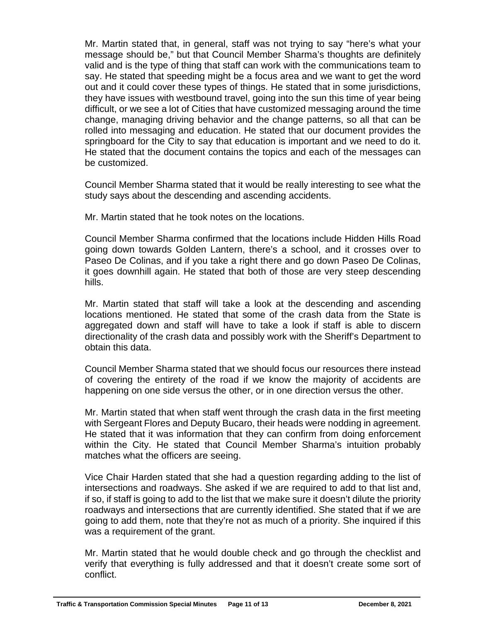Mr. Martin stated that, in general, staff was not trying to say "here's what your message should be," but that Council Member Sharma's thoughts are definitely valid and is the type of thing that staff can work with the communications team to say. He stated that speeding might be a focus area and we want to get the word out and it could cover these types of things. He stated that in some jurisdictions, they have issues with westbound travel, going into the sun this time of year being difficult, or we see a lot of Cities that have customized messaging around the time change, managing driving behavior and the change patterns, so all that can be rolled into messaging and education. He stated that our document provides the springboard for the City to say that education is important and we need to do it. He stated that the document contains the topics and each of the messages can be customized.

Council Member Sharma stated that it would be really interesting to see what the study says about the descending and ascending accidents.

Mr. Martin stated that he took notes on the locations.

Council Member Sharma confirmed that the locations include Hidden Hills Road going down towards Golden Lantern, there's a school, and it crosses over to Paseo De Colinas, and if you take a right there and go down Paseo De Colinas, it goes downhill again. He stated that both of those are very steep descending hills.

Mr. Martin stated that staff will take a look at the descending and ascending locations mentioned. He stated that some of the crash data from the State is aggregated down and staff will have to take a look if staff is able to discern directionality of the crash data and possibly work with the Sheriff's Department to obtain this data.

Council Member Sharma stated that we should focus our resources there instead of covering the entirety of the road if we know the majority of accidents are happening on one side versus the other, or in one direction versus the other.

Mr. Martin stated that when staff went through the crash data in the first meeting with Sergeant Flores and Deputy Bucaro, their heads were nodding in agreement. He stated that it was information that they can confirm from doing enforcement within the City. He stated that Council Member Sharma's intuition probably matches what the officers are seeing.

Vice Chair Harden stated that she had a question regarding adding to the list of intersections and roadways. She asked if we are required to add to that list and, if so, if staff is going to add to the list that we make sure it doesn't dilute the priority roadways and intersections that are currently identified. She stated that if we are going to add them, note that they're not as much of a priority. She inquired if this was a requirement of the grant.

Mr. Martin stated that he would double check and go through the checklist and verify that everything is fully addressed and that it doesn't create some sort of conflict.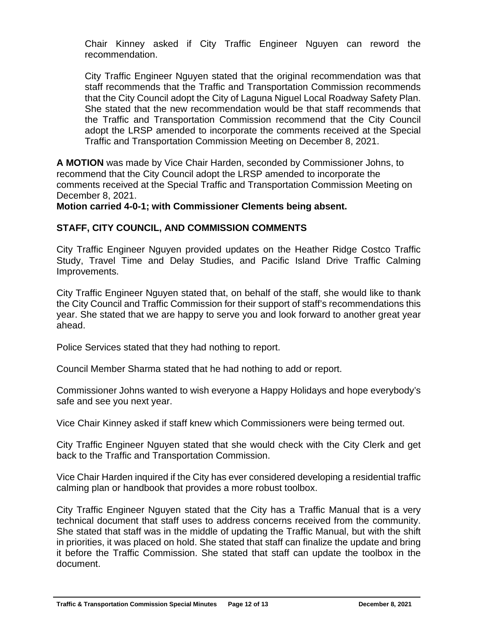Chair Kinney asked if City Traffic Engineer Nguyen can reword the recommendation.

City Traffic Engineer Nguyen stated that the original recommendation was that staff recommends that the Traffic and Transportation Commission recommends that the City Council adopt the City of Laguna Niguel Local Roadway Safety Plan. She stated that the new recommendation would be that staff recommends that the Traffic and Transportation Commission recommend that the City Council adopt the LRSP amended to incorporate the comments received at the Special Traffic and Transportation Commission Meeting on December 8, 2021.

**A MOTION** was made by Vice Chair Harden, seconded by Commissioner Johns, to recommend that the City Council adopt the LRSP amended to incorporate the comments received at the Special Traffic and Transportation Commission Meeting on December 8, 2021.

**Motion carried 4-0-1; with Commissioner Clements being absent.**

## **STAFF, CITY COUNCIL, AND COMMISSION COMMENTS**

City Traffic Engineer Nguyen provided updates on the Heather Ridge Costco Traffic Study, Travel Time and Delay Studies, and Pacific Island Drive Traffic Calming Improvements.

City Traffic Engineer Nguyen stated that, on behalf of the staff, she would like to thank the City Council and Traffic Commission for their support of staff's recommendations this year. She stated that we are happy to serve you and look forward to another great year ahead.

Police Services stated that they had nothing to report.

Council Member Sharma stated that he had nothing to add or report.

Commissioner Johns wanted to wish everyone a Happy Holidays and hope everybody's safe and see you next year.

Vice Chair Kinney asked if staff knew which Commissioners were being termed out.

City Traffic Engineer Nguyen stated that she would check with the City Clerk and get back to the Traffic and Transportation Commission.

Vice Chair Harden inquired if the City has ever considered developing a residential traffic calming plan or handbook that provides a more robust toolbox.

City Traffic Engineer Nguyen stated that the City has a Traffic Manual that is a very technical document that staff uses to address concerns received from the community. She stated that staff was in the middle of updating the Traffic Manual, but with the shift in priorities, it was placed on hold. She stated that staff can finalize the update and bring it before the Traffic Commission. She stated that staff can update the toolbox in the document.